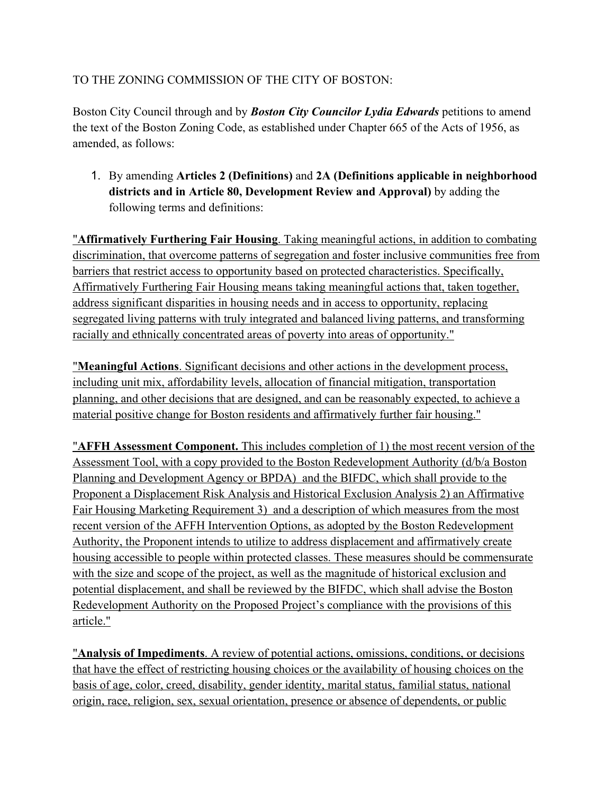## TO THE ZONING COMMISSION OF THE CITY OF BOSTON:

Boston City Council through and by *Boston City Councilor Lydia Edwards* petitions to amend the text of the Boston Zoning Code, as established under Chapter 665 of the Acts of 1956, as amended, as follows:

1. By amending **Articles 2 (Definitions)** and **2A (Definitions applicable in neighborhood districts and in Article 80, Development Review and Approval)** by adding the following terms and definitions:

"**Affirmatively Furthering Fair Housing**. Taking meaningful actions, in addition to combating discrimination, that overcome patterns of segregation and foster inclusive communities free from barriers that restrict access to opportunity based on protected characteristics. Specifically, Affirmatively Furthering Fair Housing means taking meaningful actions that, taken together, address significant disparities in housing needs and in access to opportunity, replacing segregated living patterns with truly integrated and balanced living patterns, and transforming racially and ethnically concentrated areas of poverty into areas of opportunity."

"**Meaningful Actions**. Significant decisions and other actions in the development process, including unit mix, affordability levels, allocation of financial mitigation, transportation planning, and other decisions that are designed, and can be reasonably expected, to achieve a material positive change for Boston residents and affirmatively further fair housing."

"**AFFH Assessment Component.** This includes completion of 1) the most recent version of the Assessment Tool, with a copy provided to the Boston Redevelopment Authority (d/b/a Boston Planning and Development Agency or BPDA) and the BIFDC, which shall provide to the Proponent a Displacement Risk Analysis and Historical Exclusion Analysis 2) an Affirmative Fair Housing Marketing Requirement 3) and a description of which measures from the most recent version of the AFFH Intervention Options, as adopted by the Boston Redevelopment Authority, the Proponent intends to utilize to address displacement and affirmatively create housing accessible to people within protected classes. These measures should be commensurate with the size and scope of the project, as well as the magnitude of historical exclusion and potential displacement, and shall be reviewed by the BIFDC, which shall advise the Boston Redevelopment Authority on the Proposed Project's compliance with the provisions of this article."

"**Analysis of Impediments**. A review of potential actions, omissions, conditions, or decisions that have the effect of restricting housing choices or the availability of housing choices on the basis of age, color, creed, disability, gender identity, marital status, familial status, national origin, race, religion, sex, sexual orientation, presence or absence of dependents, or public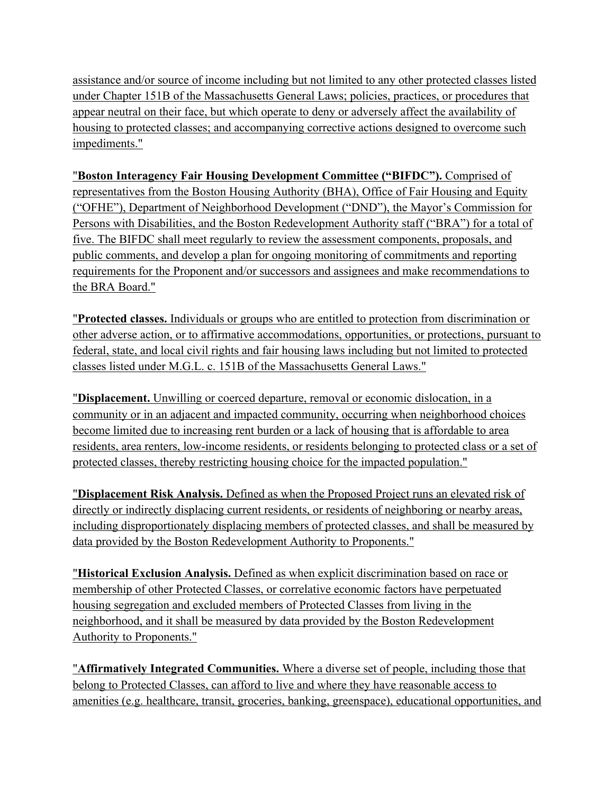assistance and/or source of income including but not limited to any other protected classes listed under Chapter 151B of the Massachusetts General Laws; policies, practices, or procedures that appear neutral on their face, but which operate to deny or adversely affect the availability of housing to protected classes; and accompanying corrective actions designed to overcome such impediments."

"**Boston Interagency Fair Housing Development Committee ("BIFDC").** Comprised of representatives from the Boston Housing Authority (BHA), Office of Fair Housing and Equity ("OFHE"), Department of Neighborhood Development ("DND"), the Mayor's Commission for Persons with Disabilities, and the Boston Redevelopment Authority staff ("BRA") for a total of five. The BIFDC shall meet regularly to review the assessment components, proposals, and public comments, and develop a plan for ongoing monitoring of commitments and reporting requirements for the Proponent and/or successors and assignees and make recommendations to the BRA Board."

"**Protected classes.** Individuals or groups who are entitled to protection from discrimination or other adverse action, or to affirmative accommodations, opportunities, or protections, pursuant to federal, state, and local civil rights and fair housing laws including but not limited to protected classes listed under M.G.L. c. 151B of the Massachusetts General Laws."

"**Displacement.** Unwilling or coerced departure, removal or economic dislocation, in a community or in an adjacent and impacted community, occurring when neighborhood choices become limited due to increasing rent burden or a lack of housing that is affordable to area residents, area renters, low-income residents, or residents belonging to protected class or a set of protected classes, thereby restricting housing choice for the impacted population."

"**Displacement Risk Analysis.** Defined as when the Proposed Project runs an elevated risk of directly or indirectly displacing current residents, or residents of neighboring or nearby areas, including disproportionately displacing members of protected classes, and shall be measured by data provided by the Boston Redevelopment Authority to Proponents."

"**Historical Exclusion Analysis.** Defined as when explicit discrimination based on race or membership of other Protected Classes, or correlative economic factors have perpetuated housing segregation and excluded members of Protected Classes from living in the neighborhood, and it shall be measured by data provided by the Boston Redevelopment Authority to Proponents."

"**Affirmatively Integrated Communities.** Where a diverse set of people, including those that belong to Protected Classes, can afford to live and where they have reasonable access to amenities (e.g. healthcare, transit, groceries, banking, greenspace), educational opportunities, and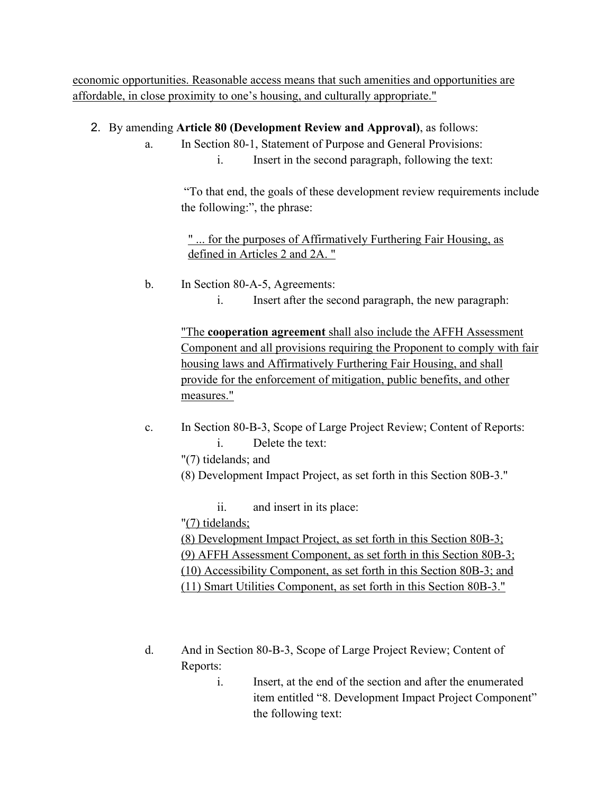economic opportunities. Reasonable access means that such amenities and opportunities are affordable, in close proximity to one's housing, and culturally appropriate."

## 2. By amending **Article 80 (Development Review and Approval)**, as follows:

- a. In Section 80-1, Statement of Purpose and General Provisions:
	- i. Insert in the second paragraph, following the text:

"To that end, the goals of these development review requirements include the following:", the phrase:

## " ... for the purposes of Affirmatively Furthering Fair Housing, as defined in Articles 2 and 2A. "

- b. In Section 80-A-5, Agreements:
	- i. Insert after the second paragraph, the new paragraph:

"The **cooperation agreement** shall also include the AFFH Assessment Component and all provisions requiring the Proponent to comply with fair housing laws and Affirmatively Furthering Fair Housing, and shall provide for the enforcement of mitigation, public benefits, and other measures."

c. In Section 80-B-3, Scope of Large Project Review; Content of Reports: i. Delete the text:

"(7) tidelands; and

(8) Development Impact Project, as set forth in this Section 80B-3."

ii. and insert in its place:

"(7) tidelands;

(8) Development Impact Project, as set forth in this Section 80B-3; (9) AFFH Assessment Component, as set forth in this Section 80B-3; (10) Accessibility Component, as set forth in this Section 80B-3; and (11) Smart Utilities Component, as set forth in this Section 80B-3."

- d. And in Section 80-B-3, Scope of Large Project Review; Content of Reports:
	- i. Insert, at the end of the section and after the enumerated item entitled "8. Development Impact Project Component" the following text: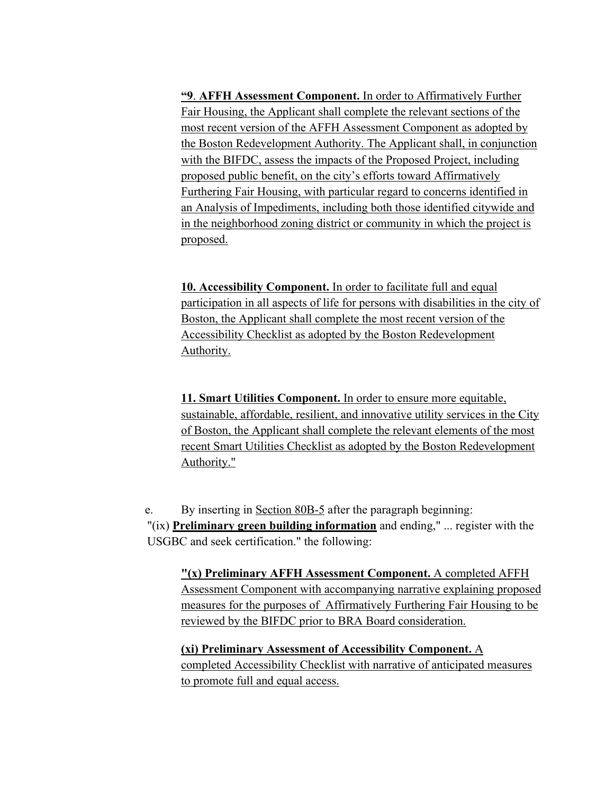**"9**. **AFFH Assessment Component.** In order to Affirmatively Further Fair Housing, the Applicant shall complete the relevant sections of the most recent version of the AFFH Assessment Component as adopted by the Boston Redevelopment Authority. The Applicant shall, in conjunction with the BIFDC, assess the impacts of the Proposed Project, including proposed public benefit, on the city's efforts toward Affirmatively Furthering Fair Housing, with particular regard to concerns identified in an Analysis of Impediments, including both those identified citywide and in the neighborhood zoning district or community in which the project is proposed.

**10. Accessibility Component.** In order to facilitate full and equal participation in all aspects of life for persons with disabilities in the city of Boston, the Applicant shall complete the most recent version of the Accessibility Checklist as adopted by the Boston Redevelopment Authority.

**11. Smart Utilities Component.** In order to ensure more equitable, sustainable, affordable, resilient, and innovative utility services in the City of Boston, the Applicant shall complete the relevant elements of the most recent Smart Utilities Checklist as adopted by the Boston Redevelopment Authority."

e. By inserting in Section 80B-5 after the paragraph beginning: "(ix) **Preliminary green building information** and ending," ... register with the USGBC and seek certification." the following:

**"(x) Preliminary AFFH Assessment Component.** A completed AFFH Assessment Component with accompanying narrative explaining proposed measures for the purposes of Affirmatively Furthering Fair Housing to be reviewed by the BIFDC prior to BRA Board consideration.

**(xi) Preliminary Assessment of Accessibility Component.** A completed Accessibility Checklist with narrative of anticipated measures to promote full and equal access.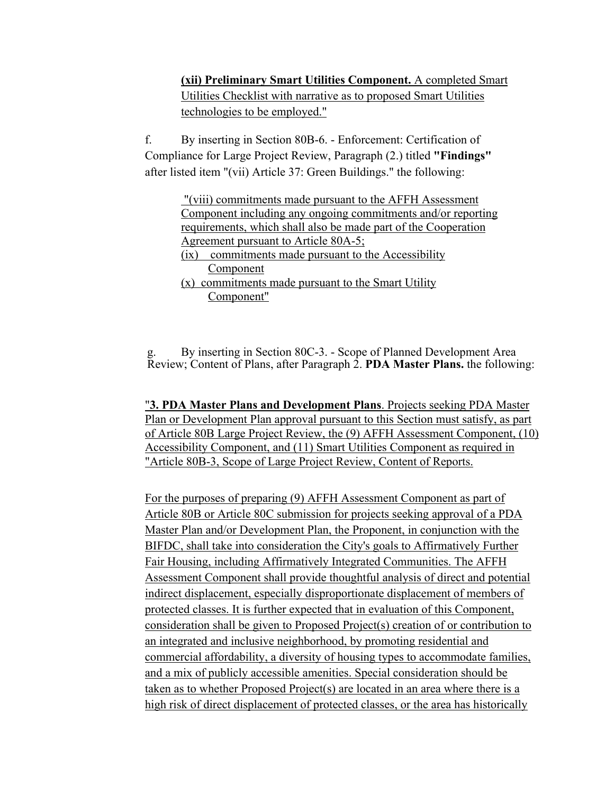**(xii) Preliminary Smart Utilities Component.** A completed Smart Utilities Checklist with narrative as to proposed Smart Utilities technologies to be employed."

f. By inserting in Section 80B-6. - Enforcement: Certification of Compliance for Large Project Review, Paragraph (2.) titled **"Findings"**  after listed item "(vii) Article 37: Green Buildings." the following:

> "(viii) commitments made pursuant to the AFFH Assessment Component including any ongoing commitments and/or reporting requirements, which shall also be made part of the Cooperation Agreement pursuant to Article 80A-5;

- (ix) commitments made pursuant to the Accessibility Component
- (x) commitments made pursuant to the Smart Utility Component"

g. By inserting in Section 80C-3. - Scope of Planned Development Area Review; Content of Plans, after Paragraph 2. **PDA Master Plans.** the following:

"**3. PDA Master Plans and Development Plans**. Projects seeking PDA Master Plan or Development Plan approval pursuant to this Section must satisfy, as part of Article 80B Large Project Review, the (9) AFFH Assessment Component, (10) Accessibility Component, and (11) Smart Utilities Component as required in "Article 80B-3, Scope of Large Project Review, Content of Reports.

For the purposes of preparing (9) AFFH Assessment Component as part of Article 80B or Article 80C submission for projects seeking approval of a PDA Master Plan and/or Development Plan, the Proponent, in conjunction with the BIFDC, shall take into consideration the City's goals to Affirmatively Further Fair Housing, including Affirmatively Integrated Communities. The AFFH Assessment Component shall provide thoughtful analysis of direct and potential indirect displacement, especially disproportionate displacement of members of protected classes. It is further expected that in evaluation of this Component, consideration shall be given to Proposed Project(s) creation of or contribution to an integrated and inclusive neighborhood, by promoting residential and commercial affordability, a diversity of housing types to accommodate families, and a mix of publicly accessible amenities. Special consideration should be taken as to whether Proposed Project(s) are located in an area where there is a high risk of direct displacement of protected classes, or the area has historically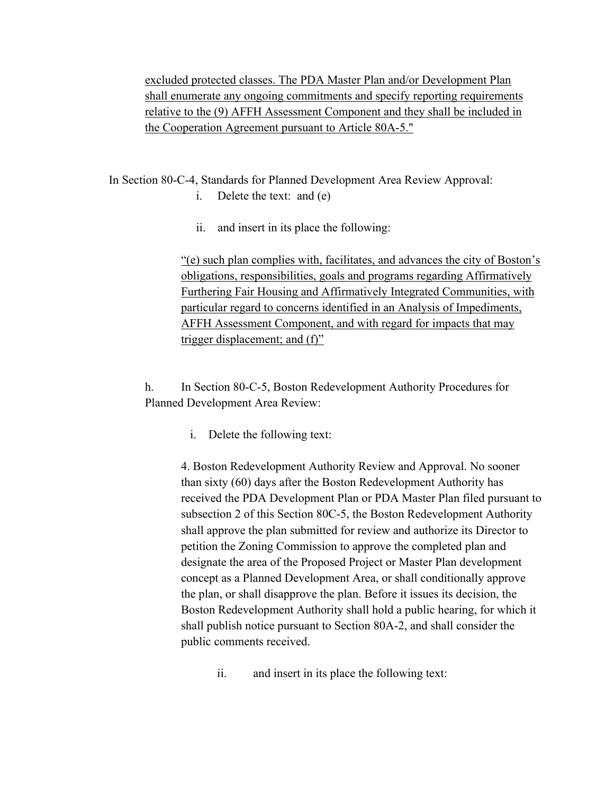excluded protected classes. The PDA Master Plan and/or Development Plan shall enumerate any ongoing commitments and specify reporting requirements relative to the (9) AFFH Assessment Component and they shall be included in the Cooperation Agreement pursuant to Article 80A-5."

In Section 80-C-4, Standards for Planned Development Area Review Approval:

- i. Delete the text: and (e)
- ii. and insert in its place the following:

"(e) such plan complies with, facilitates, and advances the city of Boston's obligations, responsibilities, goals and programs regarding Affirmatively Furthering Fair Housing and Affirmatively Integrated Communities, with particular regard to concerns identified in an Analysis of Impediments, AFFH Assessment Component, and with regard for impacts that may trigger displacement; and (f)"

h. In Section 80-C-5, Boston Redevelopment Authority Procedures for Planned Development Area Review:

i. Delete the following text:

4. Boston Redevelopment Authority Review and Approval. No sooner than sixty (60) days after the Boston Redevelopment Authority has received the PDA Development Plan or PDA Master Plan filed pursuant to subsection 2 of this Section 80C-5, the Boston Redevelopment Authority shall approve the plan submitted for review and authorize its Director to petition the Zoning Commission to approve the completed plan and designate the area of the Proposed Project or Master Plan development concept as a Planned Development Area, or shall conditionally approve the plan, or shall disapprove the plan. Before it issues its decision, the Boston Redevelopment Authority shall hold a public hearing, for which it shall publish notice pursuant to Section 80A-2, and shall consider the public comments received.

ii. and insert in its place the following text: